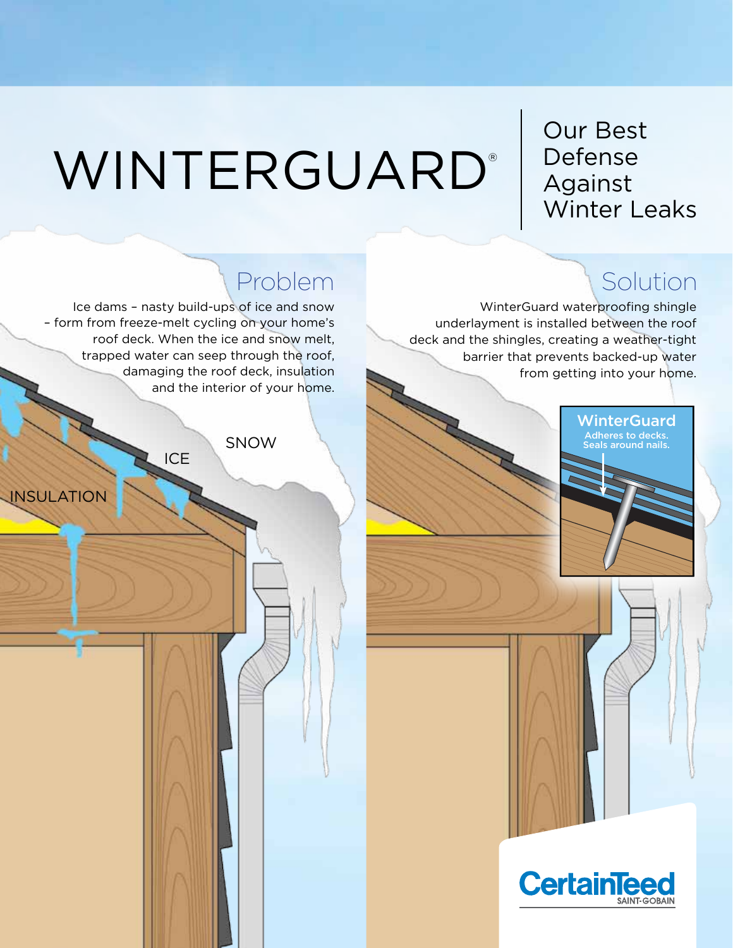# WINTERGUARD<sup>®</sup> | Defense

### Our Best Defense Winter Leaks

WinterGuard waterproofing shingle underlayment is installed between the roof deck and the shingles, creating a weather-tight barrier that prevents backed-up water from getting into your home.



### Problem Nolution

Ice dams – nasty build-ups of ice and snow – form from freeze-melt cycling on your home's roof deck. When the ice and snow melt, trapped water can seep through the roof, damaging the roof deck, insulation and the interior of your home.

**ICE** 

**SNOW** 

**INSULATION**